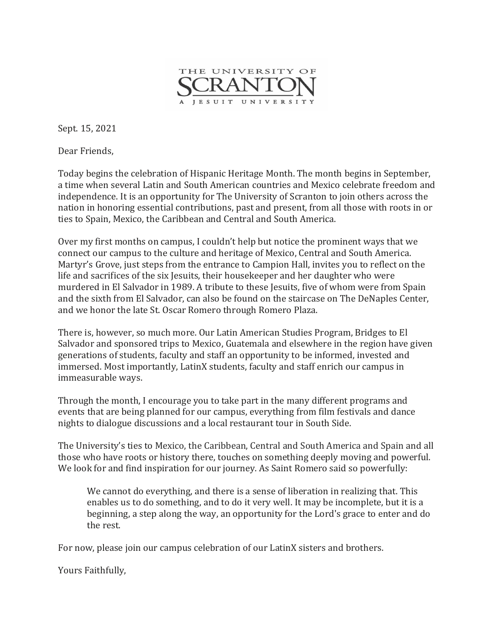

Sept. 15, 2021

Dear Friends,

Today begins the celebration of Hispanic Heritage Month. The month begins in September, a time when several Latin and South American countries and Mexico celebrate freedom and independence. It is an opportunity for The University of Scranton to join others across the nation in honoring essential contributions, past and present, from all those with roots in or ties to Spain, Mexico, the Caribbean and Central and South America.

Over my first months on campus, I couldn't help but notice the prominent ways that we connect our campus to the culture and heritage of Mexico, Central and South America. Martyr's Grove, just steps from the entrance to Campion Hall, invites you to reflect on the life and sacrifices of the six Jesuits, their housekeeper and her daughter who were murdered in El Salvador in 1989. A tribute to these Jesuits, five of whom were from Spain and the sixth from El Salvador, can also be found on the staircase on The DeNaples Center, and we honor the late St. Oscar Romero through Romero Plaza.

There is, however, so much more. Our Latin American Studies Program, Bridges to El Salvador and sponsored trips to Mexico, Guatemala and elsewhere in the region have given generations of students, faculty and staff an opportunity to be informed, invested and immersed. Most importantly, LatinX students, faculty and staff enrich our campus in immeasurable ways.

Through the month, I encourage you to take part in the many different programs and events that are being planned for our campus, everything from film festivals and dance nights to dialogue discussions and a local restaurant tour in South Side.

The University's ties to Mexico, the Caribbean, Central and South America and Spain and all those who have roots or history there, touches on something deeply moving and powerful. We look for and find inspiration for our journey. As Saint Romero said so powerfully:

We cannot do everything, and there is a sense of liberation in realizing that. This enables us to do something, and to do it very well. It may be incomplete, but it is a beginning, a step along the way, an opportunity for the Lord's grace to enter and do the rest.

For now, please join our campus celebration of our LatinX sisters and brothers.

Yours Faithfully,